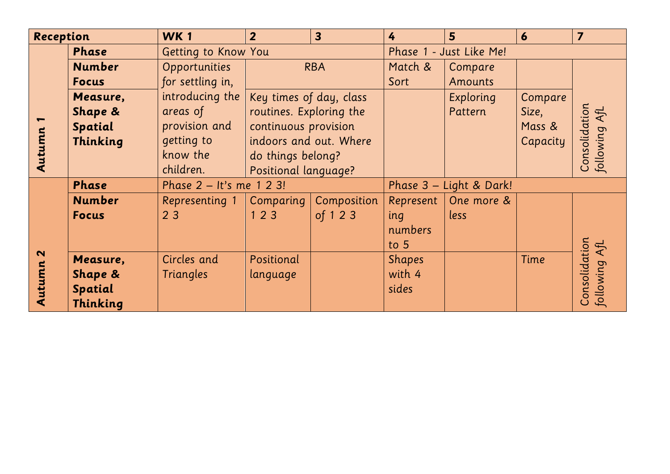| Reception                           |               | <b>WK1</b>               | $\overline{2}$          | $\overline{\mathbf{3}}$ | 4                       | 5              | 6        | $\overline{7}$             |
|-------------------------------------|---------------|--------------------------|-------------------------|-------------------------|-------------------------|----------------|----------|----------------------------|
| Autumn                              | <b>Phase</b>  | Getting to Know You      |                         | Phase 1 - Just Like Me! |                         |                |          |                            |
|                                     | <b>Number</b> | Opportunities            | <b>RBA</b>              |                         | Match &                 | Compare        |          |                            |
|                                     | <b>Focus</b>  | for settling in,         |                         |                         | Sort                    | <b>Amounts</b> |          |                            |
|                                     | Measure,      | introducing the          | Key times of day, class |                         |                         | Exploring      | Compare  |                            |
|                                     | Shape &       | areas of                 | routines. Exploring the |                         |                         | Pattern        | Size,    | Consolidation<br>AfL       |
|                                     | Spatial       | provision and            | continuous provision    |                         |                         |                | Mass &   |                            |
|                                     | Thinking      | getting to               | indoors and out. Where  |                         |                         |                | Capacity | following                  |
|                                     |               | know the                 | do things belong?       |                         |                         |                |          |                            |
|                                     |               | children.                | Positional language?    |                         |                         |                |          |                            |
| $\boldsymbol{\mathsf{N}}$<br>Autumn | Phase         | Phase 2 - It's me 1 2 3! |                         |                         | Phase 3 - Light & Dark! |                |          |                            |
|                                     | <b>Number</b> | Representing 1           | Comparing               | Composition             | Represent               | One more &     |          |                            |
|                                     | <b>Focus</b>  | 23                       | 123                     | of 123                  | ing                     | less           |          |                            |
|                                     |               |                          |                         |                         | numbers                 |                |          |                            |
|                                     |               |                          |                         |                         | to $5$                  |                |          | AfL                        |
|                                     | Measure,      | Circles and              | Positional              |                         | <b>Shapes</b>           |                | Time     |                            |
|                                     | Shape &       | <b>Triangles</b>         | language                |                         | with 4                  |                |          |                            |
|                                     | Spatial       |                          |                         |                         | sides                   |                |          | Consolidation<br>following |
|                                     | Thinking      |                          |                         |                         |                         |                |          |                            |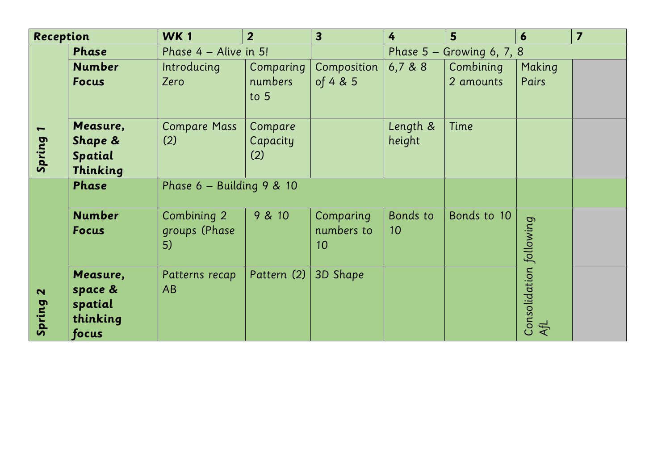| Reception |                                                     | <b>WK1</b>                         | 2 <sup>1</sup>             | $\overline{\mathbf{3}}$       | 4                           | 5 <sup>5</sup> | 6                              | $\overline{7}$ |
|-----------|-----------------------------------------------------|------------------------------------|----------------------------|-------------------------------|-----------------------------|----------------|--------------------------------|----------------|
| Spring    | Phase                                               | Phase 4 - Alive in 5!              |                            |                               | Phase $5 -$ Growing 6, 7, 8 |                |                                |                |
|           | <b>Number</b>                                       | Introducing                        | Comparing                  | Composition                   | 6,7,8,8                     | Combining      | Making                         |                |
|           | <b>Focus</b>                                        | Zero                               | numbers<br>to $5$          | of 4 & 5                      |                             | 2 amounts      | Pairs                          |                |
|           | Measure,<br>Shape &<br>Spatial<br>Thinking          | <b>Compare Mass</b><br>(2)         | Compare<br>Capacity<br>(2) |                               | Length &<br>height          | Time           |                                |                |
| Spring 2  | Phase                                               | Phase $6$ – Building 9 & 10        |                            |                               |                             |                |                                |                |
|           | <b>Number</b><br><b>Focus</b>                       | Combining 2<br>groups (Phase<br>5) | 9 & 10                     | Comparing<br>numbers to<br>10 | Bonds to<br>10 <sup>°</sup> | Bonds to 10    |                                |                |
|           | Measure,<br>space &<br>spatial<br>thinking<br>focus | Patterns recap<br>AB               | Pattern (2)                | 3D Shape                      |                             |                | Consolidation following<br>AfL |                |